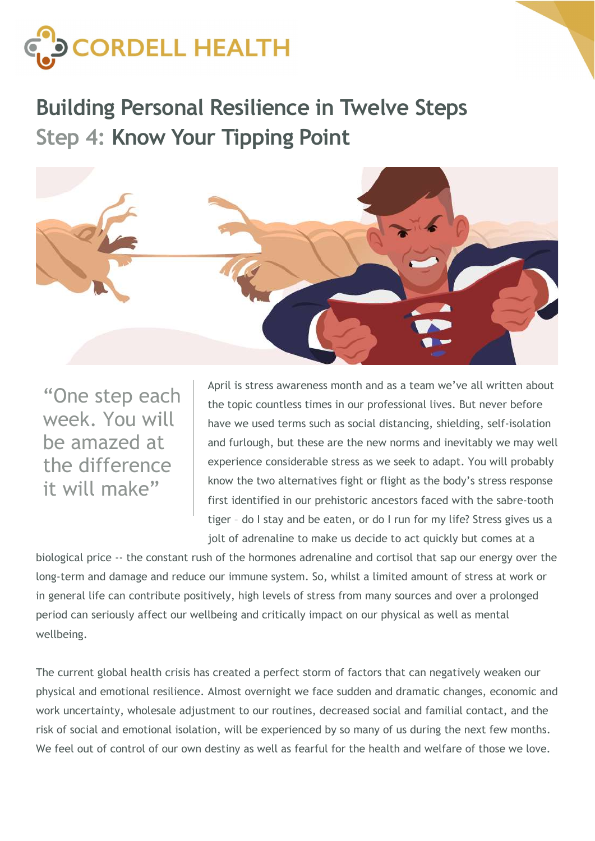

Building Personal Resilience in Twelve Steps Step 4: Know Your Tipping Point



"One step each week. You will be amazed at the difference it will make"

April is stress awareness month and as a team we've all written about the topic countless times in our professional lives. But never before have we used terms such as social distancing, shielding, self-isolation and furlough, but these are the new norms and inevitably we may well experience considerable stress as we seek to adapt. You will probably know the two alternatives fight or flight as the body's stress response first identified in our prehistoric ancestors faced with the sabre-tooth tiger – do I stay and be eaten, or do I run for my life? Stress gives us a jolt of adrenaline to make us decide to act quickly but comes at a

biological price -- the constant rush of the hormones adrenaline and cortisol that sap our energy over the long-term and damage and reduce our immune system. So, whilst a limited amount of stress at work or in general life can contribute positively, high levels of stress from many sources and over a prolonged period can seriously affect our wellbeing and critically impact on our physical as well as mental wellbeing.

The current global health crisis has created a perfect storm of factors that can negatively weaken our physical and emotional resilience. Almost overnight we face sudden and dramatic changes, economic and work uncertainty, wholesale adjustment to our routines, decreased social and familial contact, and the risk of social and emotional isolation, will be experienced by so many of us during the next few months. We feel out of control of our own destiny as well as fearful for the health and welfare of those we love.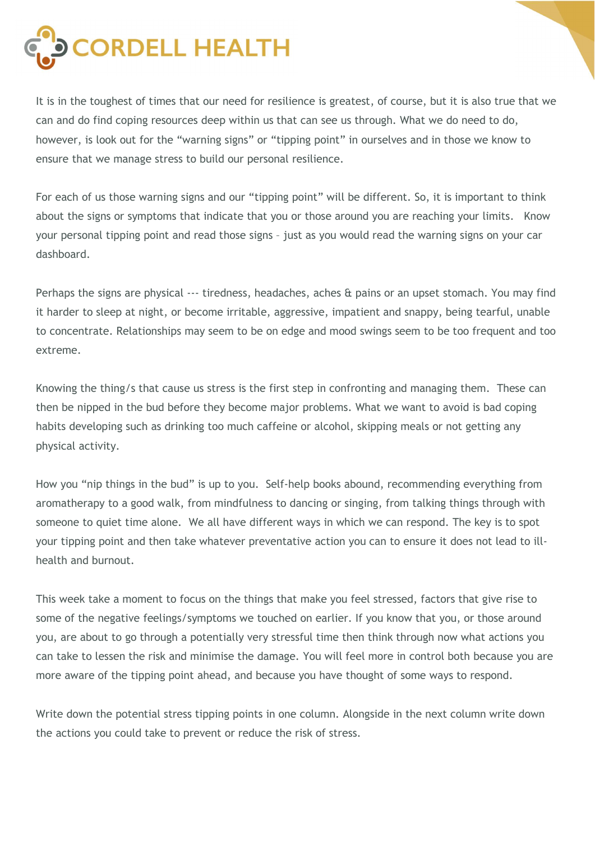

It is in the toughest of times that our need for resilience is greatest, of course, but it is also true that we can and do find coping resources deep within us that can see us through. What we do need to do, however, is look out for the "warning signs" or "tipping point" in ourselves and in those we know to ensure that we manage stress to build our personal resilience.

For each of us those warning signs and our "tipping point" will be different. So, it is important to think about the signs or symptoms that indicate that you or those around you are reaching your limits. Know your personal tipping point and read those signs – just as you would read the warning signs on your car dashboard.

Perhaps the signs are physical --- tiredness, headaches, aches & pains or an upset stomach. You may find it harder to sleep at night, or become irritable, aggressive, impatient and snappy, being tearful, unable to concentrate. Relationships may seem to be on edge and mood swings seem to be too frequent and too extreme.

Knowing the thing/s that cause us stress is the first step in confronting and managing them. These can then be nipped in the bud before they become major problems. What we want to avoid is bad coping habits developing such as drinking too much caffeine or alcohol, skipping meals or not getting any physical activity.

How you "nip things in the bud" is up to you. Self-help books abound, recommending everything from aromatherapy to a good walk, from mindfulness to dancing or singing, from talking things through with someone to quiet time alone. We all have different ways in which we can respond. The key is to spot your tipping point and then take whatever preventative action you can to ensure it does not lead to illhealth and burnout.

This week take a moment to focus on the things that make you feel stressed, factors that give rise to some of the negative feelings/symptoms we touched on earlier. If you know that you, or those around you, are about to go through a potentially very stressful time then think through now what actions you can take to lessen the risk and minimise the damage. You will feel more in control both because you are more aware of the tipping point ahead, and because you have thought of some ways to respond.

Write down the potential stress tipping points in one column. Alongside in the next column write down the actions you could take to prevent or reduce the risk of stress.